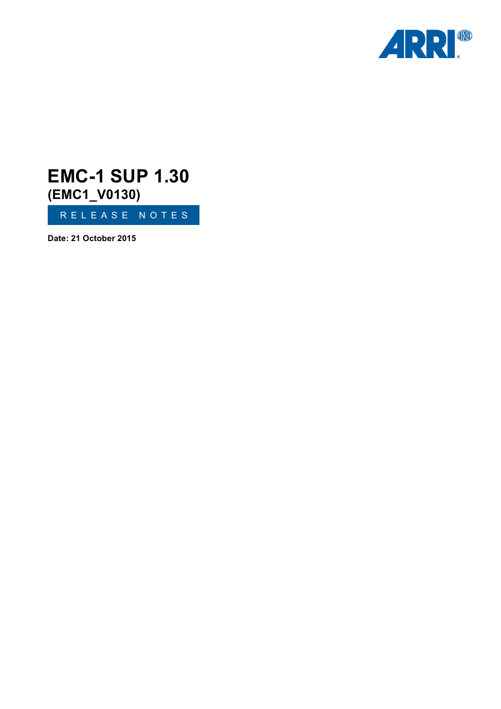

# RELEASE NOTES **EMC-1 SUP 1.30 (EMC1\_V0130)**

**Date: 21 October 2015**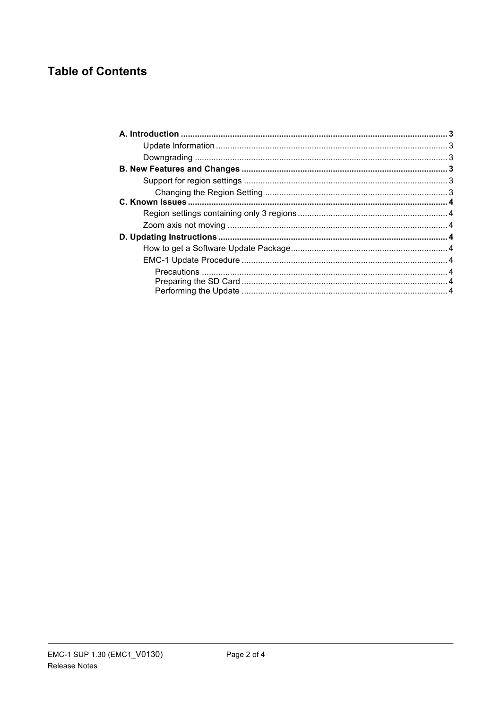# **Table of Contents**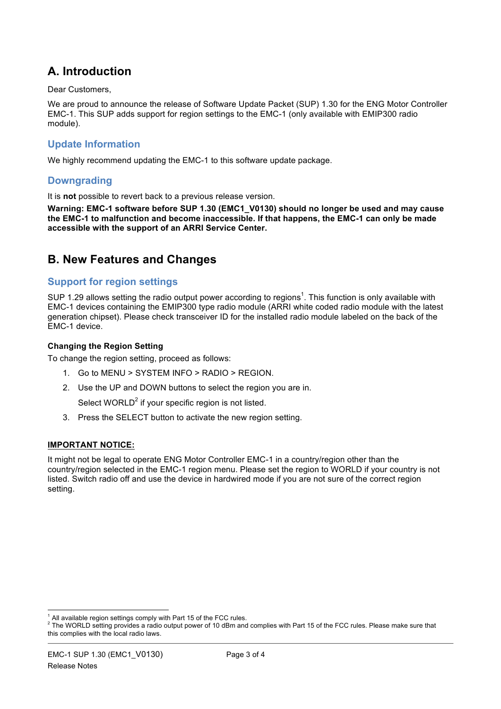# **A. Introduction**

Dear Customers,

We are proud to announce the release of Software Update Packet (SUP) 1.30 for the ENG Motor Controller EMC-1. This SUP adds support for region settings to the EMC-1 (only available with EMIP300 radio module).

### **Update Information**

We highly recommend updating the EMC-1 to this software update package.

### **Downgrading**

It is **not** possible to revert back to a previous release version.

**Warning: EMC-1 software before SUP 1.30 (EMC1\_V0130) should no longer be used and may cause the EMC-1 to malfunction and become inaccessible. If that happens, the EMC-1 can only be made accessible with the support of an ARRI Service Center.**

### **B. New Features and Changes**

### **Support for region settings**

SUP 1.29 allows setting the radio output power according to regions<sup>1</sup>. This function is only available with EMC-1 devices containing the EMIP300 type radio module (ARRI white coded radio module with the latest generation chipset). Please check transceiver ID for the installed radio module labeled on the back of the EMC-1 device.

#### **Changing the Region Setting**

To change the region setting, proceed as follows:

- 1. Go to MENU > SYSTEM INFO > RADIO > REGION.
- 2. Use the UP and DOWN buttons to select the region you are in.

Select WORLD $2$  if your specific region is not listed.

3. Press the SELECT button to activate the new region setting.

### **IMPORTANT NOTICE:**

It might not be legal to operate ENG Motor Controller EMC-1 in a country/region other than the country/region selected in the EMC-1 region menu. Please set the region to WORLD if your country is not listed. Switch radio off and use the device in hardwired mode if you are not sure of the correct region setting.

<sup>&</sup>lt;sup>1</sup> All available region settings comply with Part 15 of the FCC rules.<br><sup>2</sup> The WORLD setting provides a radio output power of 10 dBm and complies with Part 15 of the FCC rules. Please make sure that this complies with the local radio laws.